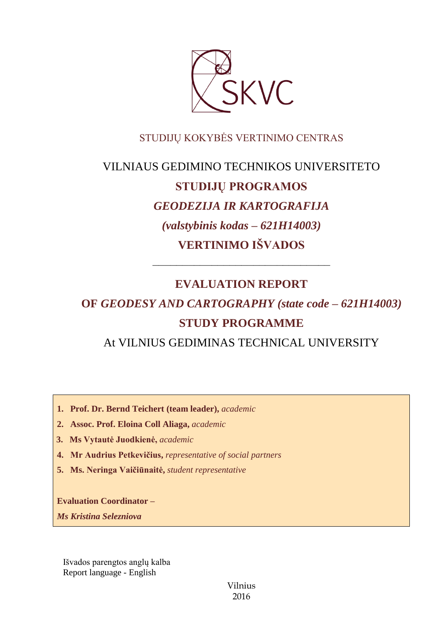

# STUDIJŲ KOKYBĖS VERTINIMO CENTRAS

# VILNIAUS GEDIMINO TECHNIKOS UNIVERSITETO **STUDIJŲ PROGRAMOS** *GEODEZIJA IR KARTOGRAFIJA (valstybinis kodas – 621H14003)* **VERTINIMO IŠVADOS**

# **EVALUATION REPORT**

––––––––––––––––––––––––––––––

# **OF** *GEODESY AND CARTOGRAPHY (state code – 621H14003)* **STUDY PROGRAMME**

At VILNIUS GEDIMINAS TECHNICAL UNIVERSITY

- **1. Prof. Dr. Bernd Teichert (team leader),** *academic*
- **2. Assoc. Prof. Eloina Coll Aliaga,** *academic*
- **3. Ms Vytautė Juodkienė,** *academic*
- **4. Mr Audrius Petkevičius,** *representative of social partners*
- **5. Ms. Neringa Vaičiūnaitė,** *student representative*

**Evaluation Coordinator –**

*Ms Kristina Selezniova*

Išvados parengtos anglų kalba Report language - English

> Vilnius 2016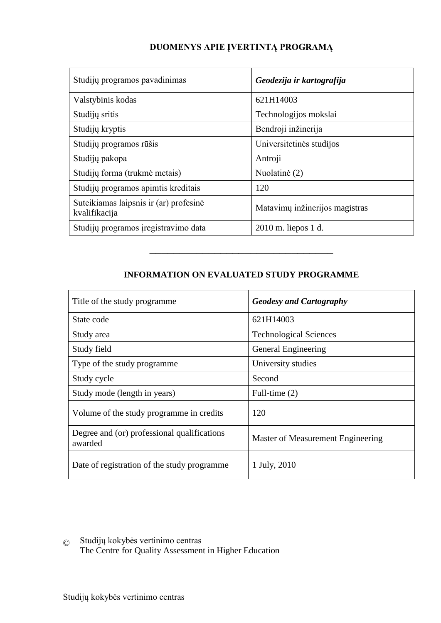# **DUOMENYS APIE ĮVERTINTĄ PROGRAMĄ**

| Studijų programos pavadinimas                           | Geodezija ir kartografija      |
|---------------------------------------------------------|--------------------------------|
| Valstybinis kodas                                       | 621H14003                      |
| Studijų sritis                                          | Technologijos mokslai          |
| Studijų kryptis                                         | Bendroji inžinerija            |
| Studijų programos rūšis                                 | Universitetinės studijos       |
| Studijų pakopa                                          | Antroji                        |
| Studijų forma (trukmė metais)                           | Nuolatinė (2)                  |
| Studijų programos apimtis kreditais                     | 120                            |
| Suteikiamas laipsnis ir (ar) profesinė<br>kvalifikacija | Matavimų inžinerijos magistras |
| Studijų programos įregistravimo data                    | 2010 m. liepos 1 d.            |

# **INFORMATION ON EVALUATED STUDY PROGRAMME**

–––––––––––––––––––––––––––––––

| Title of the study programme.                          | <b>Geodesy and Cartography</b>    |
|--------------------------------------------------------|-----------------------------------|
| State code                                             | 621H14003                         |
| Study area                                             | <b>Technological Sciences</b>     |
| Study field                                            | General Engineering               |
| Type of the study programme.                           | University studies                |
| Study cycle                                            | Second                            |
| Study mode (length in years)                           | Full-time (2)                     |
| Volume of the study programme in credits               | 120                               |
| Degree and (or) professional qualifications<br>awarded | Master of Measurement Engineering |
| Date of registration of the study programme            | 1 July, 2010                      |

© Studijų kokybės vertinimo centras The Centre for Quality Assessment in Higher Education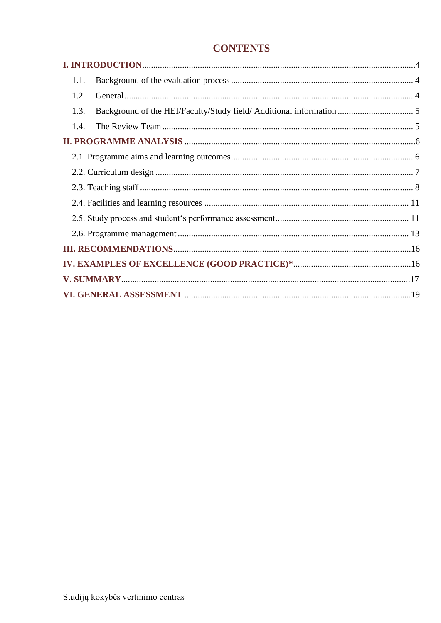# **CONTENTS**

| 1.1. |  |
|------|--|
| 1.2. |  |
| 1.3. |  |
| 1.4. |  |
|      |  |
|      |  |
|      |  |
|      |  |
|      |  |
|      |  |
|      |  |
|      |  |
|      |  |
|      |  |
|      |  |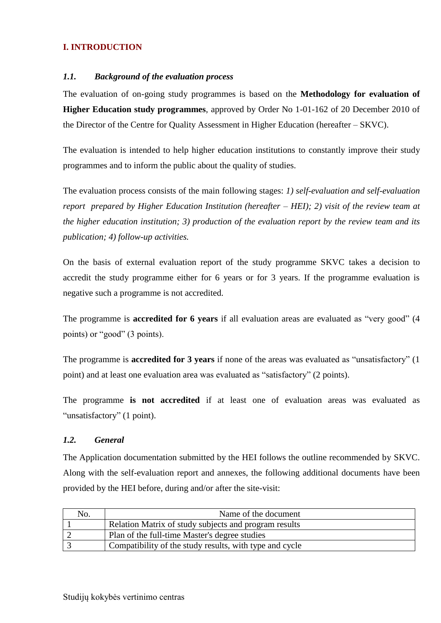# <span id="page-3-0"></span>**I. INTRODUCTION**

#### <span id="page-3-1"></span>*1.1. Background of the evaluation process*

The evaluation of on-going study programmes is based on the **Methodology for evaluation of Higher Education study programmes**, approved by Order No 1-01-162 of 20 December 2010 of the Director of the Centre for Quality Assessment in Higher Education (hereafter – SKVC).

The evaluation is intended to help higher education institutions to constantly improve their study programmes and to inform the public about the quality of studies.

The evaluation process consists of the main following stages: *1) self-evaluation and self-evaluation report prepared by Higher Education Institution (hereafter – HEI); 2) visit of the review team at the higher education institution; 3) production of the evaluation report by the review team and its publication; 4) follow-up activities.* 

On the basis of external evaluation report of the study programme SKVC takes a decision to accredit the study programme either for 6 years or for 3 years. If the programme evaluation is negative such a programme is not accredited.

The programme is **accredited for 6 years** if all evaluation areas are evaluated as "very good" (4 points) or "good" (3 points).

The programme is **accredited for 3 years** if none of the areas was evaluated as "unsatisfactory" (1 point) and at least one evaluation area was evaluated as "satisfactory" (2 points).

The programme **is not accredited** if at least one of evaluation areas was evaluated as "unsatisfactory" (1 point).

#### <span id="page-3-2"></span>*1.2. General*

The Application documentation submitted by the HEI follows the outline recommended by SKVC. Along with the self-evaluation report and annexes, the following additional documents have been provided by the HEI before, during and/or after the site-visit:

| No. | Name of the document                                    |
|-----|---------------------------------------------------------|
|     | Relation Matrix of study subjects and program results   |
|     | Plan of the full-time Master's degree studies           |
|     | Compatibility of the study results, with type and cycle |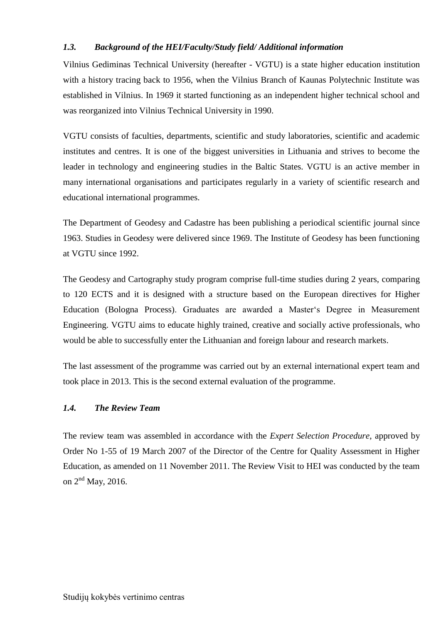# <span id="page-4-0"></span>*1.3. Background of the HEI/Faculty/Study field/ Additional information*

Vilnius Gediminas Technical University (hereafter - VGTU) is a state higher education institution with a history tracing back to 1956, when the Vilnius Branch of Kaunas Polytechnic Institute was established in Vilnius. In 1969 it started functioning as an independent higher technical school and was reorganized into Vilnius Technical University in 1990.

VGTU consists of faculties, departments, scientific and study laboratories, scientific and academic institutes and centres. It is one of the biggest universities in Lithuania and strives to become the leader in technology and engineering studies in the Baltic States. VGTU is an active member in many international organisations and participates regularly in a variety of scientific research and educational international programmes.

The Department of Geodesy and Cadastre has been publishing a periodical scientific journal since 1963. Studies in Geodesy were delivered since 1969. The Institute of Geodesy has been functioning at VGTU since 1992.

The Geodesy and Cartography study program comprise full-time studies during 2 years, comparing to 120 ECTS and it is designed with a structure based on the European directives for Higher Education (Bologna Process). Graduates are awarded a Master's Degree in Measurement Engineering. VGTU aims to educate highly trained, creative and socially active professionals, who would be able to successfully enter the Lithuanian and foreign labour and research markets.

The last assessment of the programme was carried out by an external international expert team and took place in 2013. This is the second external evaluation of the programme.

## <span id="page-4-1"></span>*1.4. The Review Team*

The review team was assembled in accordance with the *Expert Selection Procedure*, approved by Order No 1-55 of 19 March 2007 of the Director of the Centre for Quality Assessment in Higher Education, as amended on 11 November 2011. The Review Visit to HEI was conducted by the team on 2<sup>nd</sup> May, 2016.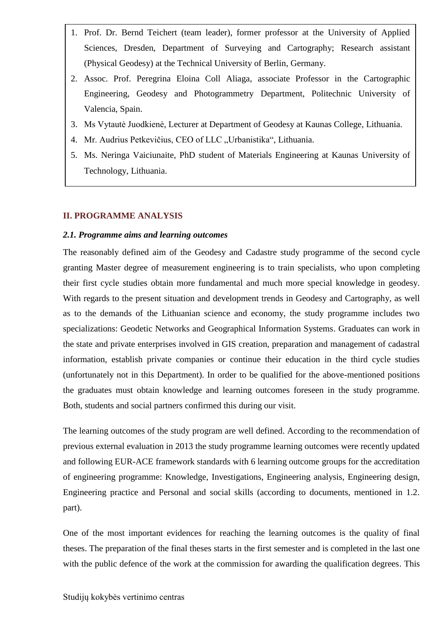- 1. Prof. Dr. Bernd Teichert (team leader), former professor at the University of Applied Sciences, Dresden, Department of Surveying and Cartography; Research assistant (Physical Geodesy) at the Technical University of Berlin, Germany.
- 2. Assoc. Prof. Peregrina Eloina Coll Aliaga, associate Professor in the Cartographic Engineering, Geodesy and Photogrammetry Department, Politechnic University of Valencia, Spain.
- 3. Ms Vytautė Juodkienė, Lecturer at Department of Geodesy at Kaunas College, Lithuania.
- 4. Mr. Audrius Petkevičius, CEO of LLC "Urbanistika", Lithuania.
- 5. Ms. Neringa Vaiciunaite, PhD student of Materials Engineering at Kaunas University of Technology, Lithuania.

#### <span id="page-5-0"></span>**II. PROGRAMME ANALYSIS**

#### <span id="page-5-1"></span>*2.1. Programme aims and learning outcomes*

The reasonably defined aim of the Geodesy and Cadastre study programme of the second cycle granting Master degree of measurement engineering is to train specialists, who upon completing their first cycle studies obtain more fundamental and much more special knowledge in geodesy. With regards to the present situation and development trends in Geodesy and Cartography, as well as to the demands of the Lithuanian science and economy, the study programme includes two specializations: Geodetic Networks and Geographical Information Systems. Graduates can work in the state and private enterprises involved in GIS creation, preparation and management of cadastral information, establish private companies or continue their education in the third cycle studies (unfortunately not in this Department). In order to be qualified for the above-mentioned positions the graduates must obtain knowledge and learning outcomes foreseen in the study programme. Both, students and social partners confirmed this during our visit.

The learning outcomes of the study program are well defined. According to the recommendation of previous external evaluation in 2013 the study programme learning outcomes were recently updated and following EUR-ACE framework standards with 6 learning outcome groups for the accreditation of engineering programme: Knowledge, Investigations, Engineering analysis, Engineering design, Engineering practice and Personal and social skills (according to documents, mentioned in 1.2. part).

One of the most important evidences for reaching the learning outcomes is the quality of final theses. The preparation of the final theses starts in the first semester and is completed in the last one with the public defence of the work at the commission for awarding the qualification degrees. This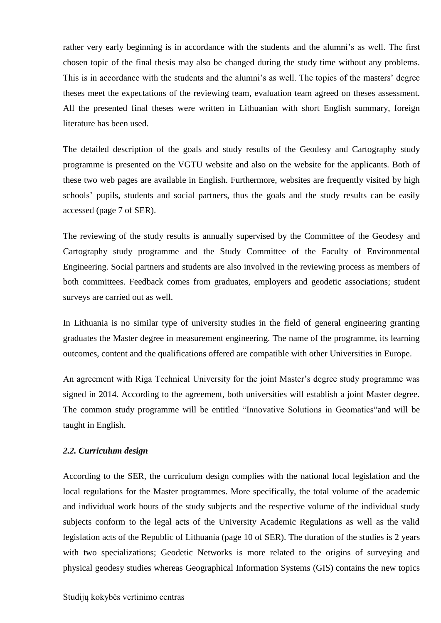rather very early beginning is in accordance with the students and the alumni's as well. The first chosen topic of the final thesis may also be changed during the study time without any problems. This is in accordance with the students and the alumni's as well. The topics of the masters' degree theses meet the expectations of the reviewing team, evaluation team agreed on theses assessment. All the presented final theses were written in Lithuanian with short English summary, foreign literature has been used.

The detailed description of the goals and study results of the Geodesy and Cartography study programme is presented on the VGTU website and also on the website for the applicants. Both of these two web pages are available in English. Furthermore, websites are frequently visited by high schools' pupils, students and social partners, thus the goals and the study results can be easily accessed (page 7 of SER).

The reviewing of the study results is annually supervised by the Committee of the Geodesy and Cartography study programme and the Study Committee of the Faculty of Environmental Engineering. Social partners and students are also involved in the reviewing process as members of both committees. Feedback comes from graduates, employers and geodetic associations; student surveys are carried out as well.

In Lithuania is no similar type of university studies in the field of general engineering granting graduates the Master degree in measurement engineering. The name of the programme, its learning outcomes, content and the qualifications offered are compatible with other Universities in Europe.

An agreement with Riga Technical University for the joint Master's degree study programme was signed in 2014. According to the agreement, both universities will establish a joint Master degree. The common study programme will be entitled "Innovative Solutions in Geomatics"and will be taught in English.

#### <span id="page-6-0"></span>*2.2. Curriculum design*

According to the SER, the curriculum design complies with the national local legislation and the local regulations for the Master programmes. More specifically, the total volume of the academic and individual work hours of the study subjects and the respective volume of the individual study subjects conform to the legal acts of the University Academic Regulations as well as the valid legislation acts of the Republic of Lithuania (page 10 of SER). The duration of the studies is 2 years with two specializations; Geodetic Networks is more related to the origins of surveying and physical geodesy studies whereas Geographical Information Systems (GIS) contains the new topics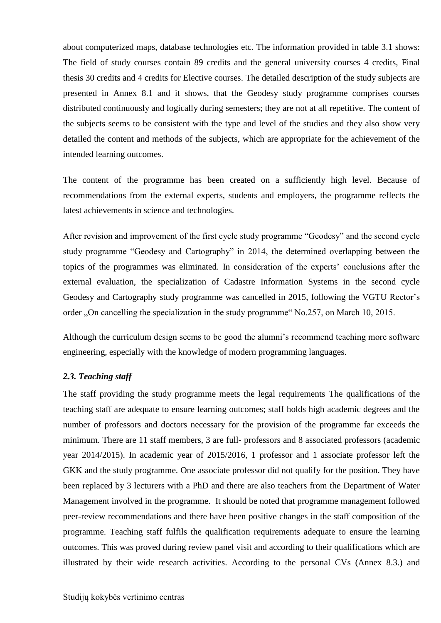about computerized maps, database technologies etc. The information provided in table 3.1 shows: The field of study courses contain 89 credits and the general university courses 4 credits, Final thesis 30 credits and 4 credits for Elective courses. The detailed description of the study subjects are presented in Annex 8.1 and it shows, that the Geodesy study programme comprises courses distributed continuously and logically during semesters; they are not at all repetitive. The content of the subjects seems to be consistent with the type and level of the studies and they also show very detailed the content and methods of the subjects, which are appropriate for the achievement of the intended learning outcomes.

The content of the programme has been created on a sufficiently high level. Because of recommendations from the external experts, students and employers, the programme reflects the latest achievements in science and technologies.

After revision and improvement of the first cycle study programme "Geodesy" and the second cycle study programme "Geodesy and Cartography" in 2014, the determined overlapping between the topics of the programmes was eliminated. In consideration of the experts' conclusions after the external evaluation, the specialization of Cadastre Information Systems in the second cycle Geodesy and Cartography study programme was cancelled in 2015, following the VGTU Rector's order "On cancelling the specialization in the study programme" No.257, on March 10, 2015.

<span id="page-7-0"></span>Although the curriculum design seems to be good the alumni's recommend teaching more software engineering, especially with the knowledge of modern programming languages.

## *2.3. Teaching staff*

The staff providing the study programme meets the legal requirements The qualifications of the teaching staff are adequate to ensure learning outcomes; staff holds high academic degrees and the number of professors and doctors necessary for the provision of the programme far exceeds the minimum. There are 11 staff members, 3 are full- professors and 8 associated professors (academic year 2014/2015). In academic year of 2015/2016, 1 professor and 1 associate professor left the GKK and the study programme. One associate professor did not qualify for the position. They have been replaced by 3 lecturers with a PhD and there are also teachers from the Department of Water Management involved in the programme. It should be noted that programme management followed peer-review recommendations and there have been positive changes in the staff composition of the programme. Teaching staff fulfils the qualification requirements adequate to ensure the learning outcomes. This was proved during review panel visit and according to their qualifications which are illustrated by their wide research activities. According to the personal CVs (Annex 8.3.) and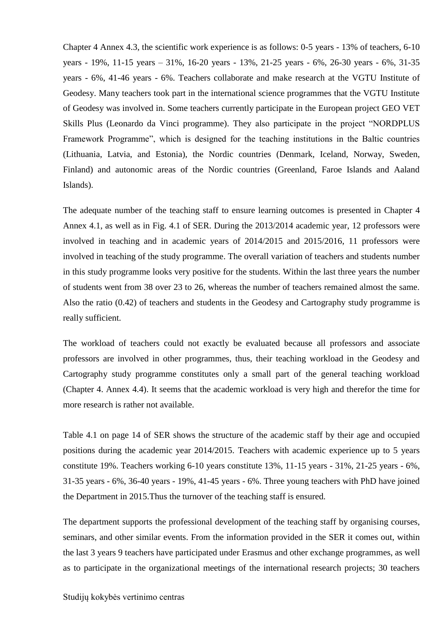Chapter 4 Annex 4.3, the scientific work experience is as follows: 0-5 years - 13% of teachers, 6-10 years - 19%, 11-15 years – 31%, 16-20 years - 13%, 21-25 years - 6%, 26-30 years - 6%, 31-35 years - 6%, 41-46 years - 6%. Teachers collaborate and make research at the VGTU Institute of Geodesy. Many teachers took part in the international science programmes that the VGTU Institute of Geodesy was involved in. Some teachers currently participate in the European project GEO VET Skills Plus (Leonardo da Vinci programme). They also participate in the project "NORDPLUS Framework Programme", which is designed for the teaching institutions in the Baltic countries (Lithuania, Latvia, and Estonia), the Nordic countries (Denmark, Iceland, Norway, Sweden, Finland) and autonomic areas of the Nordic countries (Greenland, Faroe Islands and Aaland Islands).

The adequate number of the teaching staff to ensure learning outcomes is presented in Chapter 4 Annex 4.1, as well as in Fig. 4.1 of SER. During the 2013/2014 academic year, 12 professors were involved in teaching and in academic years of 2014/2015 and 2015/2016, 11 professors were involved in teaching of the study programme. The overall variation of teachers and students number in this study programme looks very positive for the students. Within the last three years the number of students went from 38 over 23 to 26, whereas the number of teachers remained almost the same. Also the ratio (0.42) of teachers and students in the Geodesy and Cartography study programme is really sufficient.

The workload of teachers could not exactly be evaluated because all professors and associate professors are involved in other programmes, thus, their teaching workload in the Geodesy and Cartography study programme constitutes only a small part of the general teaching workload (Chapter 4. Annex 4.4). It seems that the academic workload is very high and therefor the time for more research is rather not available.

Table 4.1 on page 14 of SER shows the structure of the academic staff by their age and occupied positions during the academic year 2014/2015. Teachers with academic experience up to 5 years constitute 19%. Teachers working 6-10 years constitute 13%, 11-15 years - 31%, 21-25 years - 6%, 31-35 years - 6%, 36-40 years - 19%, 41-45 years - 6%. Three young teachers with PhD have joined the Department in 2015.Thus the turnover of the teaching staff is ensured.

The department supports the professional development of the teaching staff by organising courses, seminars, and other similar events. From the information provided in the SER it comes out, within the last 3 years 9 teachers have participated under Erasmus and other exchange programmes, as well as to participate in the organizational meetings of the international research projects; 30 teachers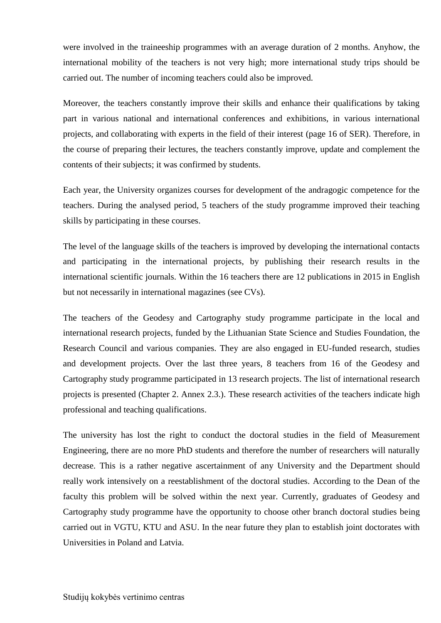were involved in the traineeship programmes with an average duration of 2 months. Anyhow, the international mobility of the teachers is not very high; more international study trips should be carried out. The number of incoming teachers could also be improved.

Moreover, the teachers constantly improve their skills and enhance their qualifications by taking part in various national and international conferences and exhibitions, in various international projects, and collaborating with experts in the field of their interest (page 16 of SER). Therefore, in the course of preparing their lectures, the teachers constantly improve, update and complement the contents of their subjects; it was confirmed by students.

Each year, the University organizes courses for development of the andragogic competence for the teachers. During the analysed period, 5 teachers of the study programme improved their teaching skills by participating in these courses.

The level of the language skills of the teachers is improved by developing the international contacts and participating in the international projects, by publishing their research results in the international scientific journals. Within the 16 teachers there are 12 publications in 2015 in English but not necessarily in international magazines (see CVs).

The teachers of the Geodesy and Cartography study programme participate in the local and international research projects, funded by the Lithuanian State Science and Studies Foundation, the Research Council and various companies. They are also engaged in EU-funded research, studies and development projects. Over the last three years, 8 teachers from 16 of the Geodesy and Cartography study programme participated in 13 research projects. The list of international research projects is presented (Chapter 2. Annex 2.3.). These research activities of the teachers indicate high professional and teaching qualifications.

The university has lost the right to conduct the doctoral studies in the field of Measurement Engineering, there are no more PhD students and therefore the number of researchers will naturally decrease. This is a rather negative ascertainment of any University and the Department should really work intensively on a reestablishment of the doctoral studies. According to the Dean of the faculty this problem will be solved within the next year. Currently, graduates of Geodesy and Cartography study programme have the opportunity to choose other branch doctoral studies being carried out in VGTU, KTU and ASU. In the near future they plan to establish joint doctorates with Universities in Poland and Latvia.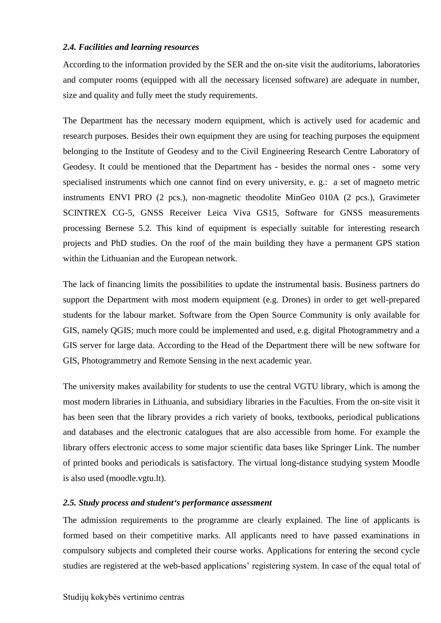#### <span id="page-10-0"></span>*2.4. Facilities and learning resources*

According to the information provided by the SER and the on-site visit the auditoriums, laboratories and computer rooms (equipped with all the necessary licensed software) are adequate in number, size and quality and fully meet the study requirements.

The Department has the necessary modern equipment, which is actively used for academic and research purposes. Besides their own equipment they are using for teaching purposes the equipment belonging to the Institute of Geodesy and to the Civil Engineering Research Centre Laboratory of Geodesy. It could be mentioned that the Department has - besides the normal ones - some very specialised instruments which one cannot find on every university, e. g.: a set of magneto metric instruments ENVI PRO (2 pcs.), non-magnetic theodolite MinGeo 010A (2 pcs.), Gravimeter SCINTREX CG-5, GNSS Receiver Leica Viva GS15, Software for GNSS measurements processing Bernese 5.2. This kind of equipment is especially suitable for interesting research projects and PhD studies. On the roof of the main building they have a permanent GPS station within the Lithuanian and the European network.

The lack of financing limits the possibilities to update the instrumental basis. Business partners do support the Department with most modern equipment (e.g. Drones) in order to get well-prepared students for the labour market. Software from the Open Source Community is only available for GIS, namely QGIS; much more could be implemented and used, e.g. digital Photogrammetry and a GIS server for large data. According to the Head of the Department there will be new software for GIS, Photogrammetry and Remote Sensing in the next academic year.

The university makes availability for students to use the central VGTU library, which is among the most modern libraries in Lithuania, and subsidiary libraries in the Faculties. From the on-site visit it has been seen that the library provides a rich variety of books, textbooks, periodical publications and databases and the electronic catalogues that are also accessible from home. For example the library offers electronic access to some major scientific data bases like Springer Link. The number of printed books and periodicals is satisfactory. The virtual long-distance studying system Moodle is also used (moodle.vgtu.lt).

## <span id="page-10-1"></span>*2.5. Study process and student's performance assessment*

The admission requirements to the programme are clearly explained. The line of applicants is formed based on their competitive marks. All applicants need to have passed examinations in compulsory subjects and completed their course works. Applications for entering the second cycle studies are registered at the web-based applications' registering system. In case of the equal total of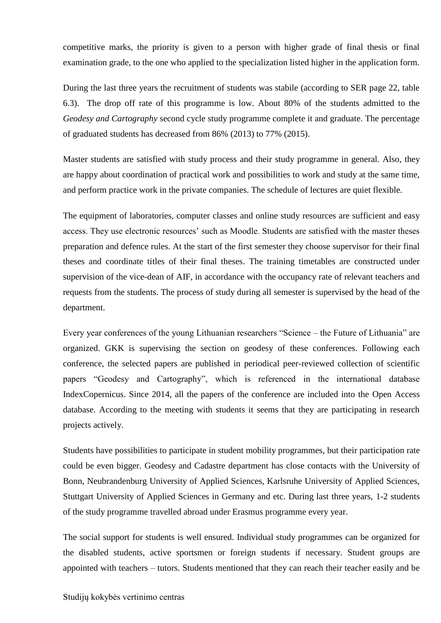competitive marks, the priority is given to a person with higher grade of final thesis or final examination grade, to the one who applied to the specialization listed higher in the application form.

During the last three years the recruitment of students was stabile (according to SER page 22, table 6.3). The drop off rate of this programme is low. About 80% of the students admitted to the *Geodesy and Cartography* second cycle study programme complete it and graduate. The percentage of graduated students has decreased from 86% (2013) to 77% (2015).

Master students are satisfied with study process and their study programme in general. Also, they are happy about coordination of practical work and possibilities to work and study at the same time, and perform practice work in the private companies. The schedule of lectures are quiet flexible.

The equipment of laboratories, computer classes and online study resources are sufficient and easy access. They use electronic resources' such as Moodle. Students are satisfied with the master theses preparation and defence rules. At the start of the first semester they choose supervisor for their final theses and coordinate titles of their final theses. The training timetables are constructed under supervision of the vice-dean of AIF, in accordance with the occupancy rate of relevant teachers and requests from the students. The process of study during all semester is supervised by the head of the department.

Every year conferences of the young Lithuanian researchers "Science – the Future of Lithuania" are organized. GKK is supervising the section on geodesy of these conferences. Following each conference, the selected papers are published in periodical peer-reviewed collection of scientific papers "Geodesy and Cartography", which is referenced in the international database IndexCopernicus. Since 2014, all the papers of the conference are included into the Open Access database. According to the meeting with students it seems that they are participating in research projects actively.

Students have possibilities to participate in student mobility programmes, but their participation rate could be even bigger. Geodesy and Cadastre department has close contacts with the University of Bonn, Neubrandenburg University of Applied Sciences, Karlsruhe University of Applied Sciences, Stuttgart University of Applied Sciences in Germany and etc. During last three years, 1-2 students of the study programme travelled abroad under Erasmus programme every year.

The social support for students is well ensured. Individual study programmes can be organized for the disabled students, active sportsmen or foreign students if necessary. Student groups are appointed with teachers – tutors. Students mentioned that they can reach their teacher easily and be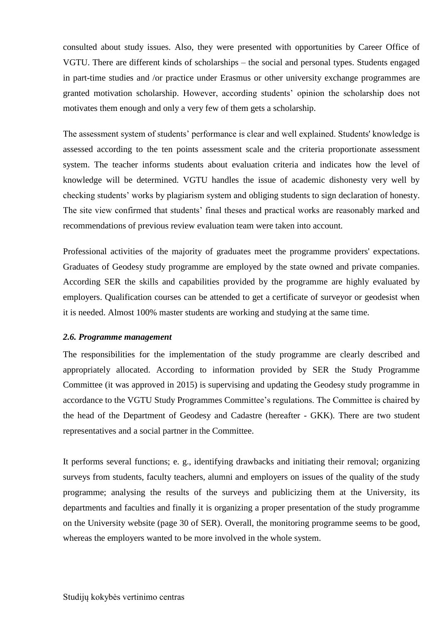consulted about study issues. Also, they were presented with opportunities by Career Office of VGTU. There are different kinds of scholarships – the social and personal types. Students engaged in part-time studies and /or practice under Erasmus or other university exchange programmes are granted motivation scholarship. However, according students' opinion the scholarship does not motivates them enough and only a very few of them gets a scholarship.

The assessment system of students' performance is clear and well explained. Students' knowledge is assessed according to the ten points assessment scale and the criteria proportionate assessment system. The teacher informs students about evaluation criteria and indicates how the level of knowledge will be determined. VGTU handles the issue of academic dishonesty very well by checking students' works by plagiarism system and obliging students to sign declaration of honesty. The site view confirmed that students' final theses and practical works are reasonably marked and recommendations of previous review evaluation team were taken into account.

Professional activities of the majority of graduates meet the programme providers' expectations. Graduates of Geodesy study programme are employed by the state owned and private companies. According SER the skills and capabilities provided by the programme are highly evaluated by employers. Qualification courses can be attended to get a certificate of surveyor or geodesist when it is needed. Almost 100% master students are working and studying at the same time.

#### <span id="page-12-0"></span>*2.6. Programme management*

The responsibilities for the implementation of the study programme are clearly described and appropriately allocated. According to information provided by SER the Study Programme Committee (it was approved in 2015) is supervising and updating the Geodesy study programme in accordance to the VGTU Study Programmes Committee's regulations. The Committee is chaired by the head of the Department of Geodesy and Cadastre (hereafter - GKK). There are two student representatives and a social partner in the Committee.

It performs several functions; e. g., identifying drawbacks and initiating their removal; organizing surveys from students, faculty teachers, alumni and employers on issues of the quality of the study programme; analysing the results of the surveys and publicizing them at the University, its departments and faculties and finally it is organizing a proper presentation of the study programme on the University website (page 30 of SER). Overall, the monitoring programme seems to be good, whereas the employers wanted to be more involved in the whole system.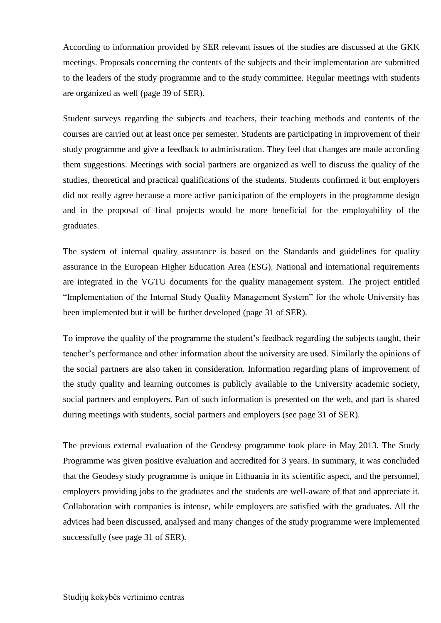According to information provided by SER relevant issues of the studies are discussed at the GKK meetings. Proposals concerning the contents of the subjects and their implementation are submitted to the leaders of the study programme and to the study committee. Regular meetings with students are organized as well (page 39 of SER).

Student surveys regarding the subjects and teachers, their teaching methods and contents of the courses are carried out at least once per semester. Students are participating in improvement of their study programme and give a feedback to administration. They feel that changes are made according them suggestions. Meetings with social partners are organized as well to discuss the quality of the studies, theoretical and practical qualifications of the students. Students confirmed it but employers did not really agree because a more active participation of the employers in the programme design and in the proposal of final projects would be more beneficial for the employability of the graduates.

The system of internal quality assurance is based on the Standards and guidelines for quality assurance in the European Higher Education Area (ESG). National and international requirements are integrated in the VGTU documents for the quality management system. The project entitled "Implementation of the Internal Study Quality Management System" for the whole University has been implemented but it will be further developed (page 31 of SER).

To improve the quality of the programme the student's feedback regarding the subjects taught, their teacher's performance and other information about the university are used. Similarly the opinions of the social partners are also taken in consideration. Information regarding plans of improvement of the study quality and learning outcomes is publicly available to the University academic society, social partners and employers. Part of such information is presented on the web, and part is shared during meetings with students, social partners and employers (see page 31 of SER).

The previous external evaluation of the Geodesy programme took place in May 2013. The Study Programme was given positive evaluation and accredited for 3 years. In summary, it was concluded that the Geodesy study programme is unique in Lithuania in its scientific aspect, and the personnel, employers providing jobs to the graduates and the students are well-aware of that and appreciate it. Collaboration with companies is intense, while employers are satisfied with the graduates. All the advices had been discussed, analysed and many changes of the study programme were implemented successfully (see page 31 of SER).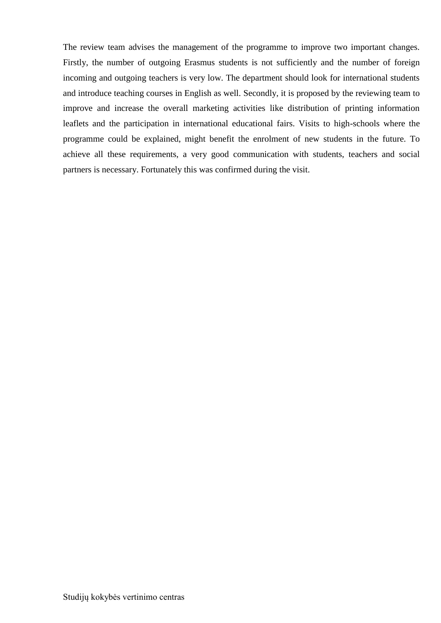The review team advises the management of the programme to improve two important changes. Firstly, the number of outgoing Erasmus students is not sufficiently and the number of foreign incoming and outgoing teachers is very low. The department should look for international students and introduce teaching courses in English as well. Secondly, it is proposed by the reviewing team to improve and increase the overall marketing activities like distribution of printing information leaflets and the participation in international educational fairs. Visits to high-schools where the programme could be explained, might benefit the enrolment of new students in the future. To achieve all these requirements, a very good communication with students, teachers and social partners is necessary. Fortunately this was confirmed during the visit.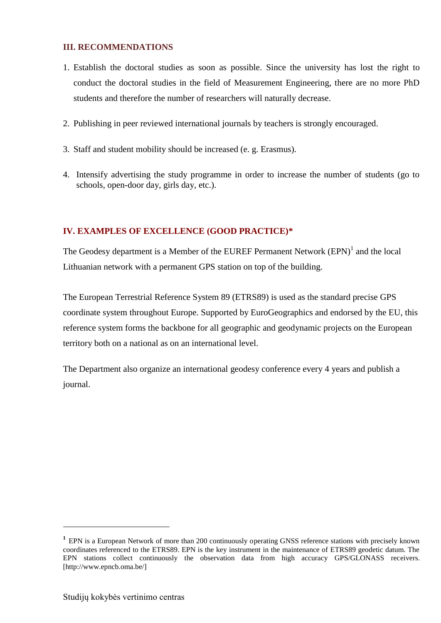## <span id="page-15-0"></span>**III. RECOMMENDATIONS**

- 1. Establish the doctoral studies as soon as possible. Since the university has lost the right to conduct the doctoral studies in the field of Measurement Engineering, there are no more PhD students and therefore the number of researchers will naturally decrease.
- 2. Publishing in peer reviewed international journals by teachers is strongly encouraged.
- 3. Staff and student mobility should be increased (e. g. Erasmus).
- 4. Intensify advertising the study programme in order to increase the number of students (go to schools, open-door day, girls day, etc.).

# <span id="page-15-1"></span>**IV. EXAMPLES OF EXCELLENCE (GOOD PRACTICE)\***

The Geodesy department is a Member of the EUREF Permanent Network  $(EPN)^1$  and the local Lithuanian network with a permanent GPS station on top of the building.

The European Terrestrial Reference System 89 (ETRS89) is used as the standard precise GPS coordinate system throughout Europe. Supported by EuroGeographics and endorsed by the EU, this reference system forms the backbone for all geographic and geodynamic projects on the European territory both on a national as on an international level.

The Department also organize an international geodesy conference every 4 years and publish a journal.

1

<sup>&</sup>lt;sup>1</sup> EPN is a European Network of more than 200 continuously operating GNSS reference stations with precisely known coordinates referenced to the ETRS89. EPN is the key instrument in the maintenance of ETRS89 geodetic datum. The EPN stations collect continuously the observation data from high accuracy GPS/GLONASS receivers. [http://www.epncb.oma.be/]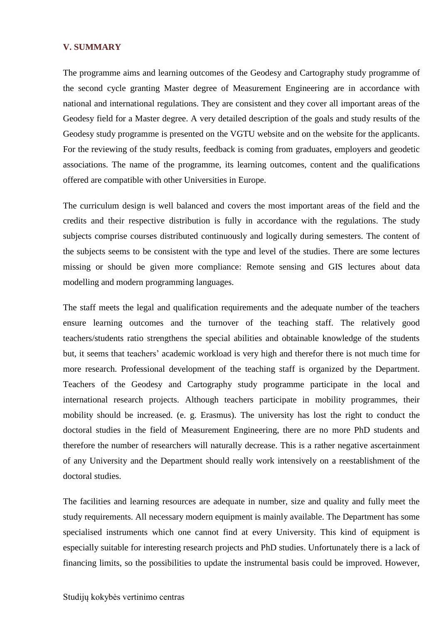#### **V. SUMMARY**

The programme aims and learning outcomes of the Geodesy and Cartography study programme of the second cycle granting Master degree of Measurement Engineering are in accordance with national and international regulations. They are consistent and they cover all important areas of the Geodesy field for a Master degree. A very detailed description of the goals and study results of the Geodesy study programme is presented on the VGTU website and on the website for the applicants. For the reviewing of the study results, feedback is coming from graduates, employers and geodetic associations. The name of the programme, its learning outcomes, content and the qualifications offered are compatible with other Universities in Europe.

The curriculum design is well balanced and covers the most important areas of the field and the credits and their respective distribution is fully in accordance with the regulations. The study subjects comprise courses distributed continuously and logically during semesters. The content of the subjects seems to be consistent with the type and level of the studies. There are some lectures missing or should be given more compliance: Remote sensing and GIS lectures about data modelling and modern programming languages.

The staff meets the legal and qualification requirements and the adequate number of the teachers ensure learning outcomes and the turnover of the teaching staff. The relatively good teachers/students ratio strengthens the special abilities and obtainable knowledge of the students but, it seems that teachers' academic workload is very high and therefor there is not much time for more research. Professional development of the teaching staff is organized by the Department. Teachers of the Geodesy and Cartography study programme participate in the local and international research projects. Although teachers participate in mobility programmes, their mobility should be increased. (e. g. Erasmus). The university has lost the right to conduct the doctoral studies in the field of Measurement Engineering, there are no more PhD students and therefore the number of researchers will naturally decrease. This is a rather negative ascertainment of any University and the Department should really work intensively on a reestablishment of the doctoral studies.

The facilities and learning resources are adequate in number, size and quality and fully meet the study requirements. All necessary modern equipment is mainly available. The Department has some specialised instruments which one cannot find at every University. This kind of equipment is especially suitable for interesting research projects and PhD studies. Unfortunately there is a lack of financing limits, so the possibilities to update the instrumental basis could be improved. However,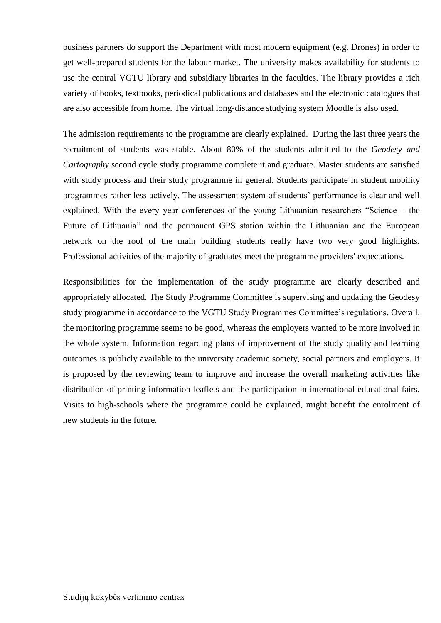business partners do support the Department with most modern equipment (e.g. Drones) in order to get well-prepared students for the labour market. The university makes availability for students to use the central VGTU library and subsidiary libraries in the faculties. The library provides a rich variety of books, textbooks, periodical publications and databases and the electronic catalogues that are also accessible from home. The virtual long-distance studying system Moodle is also used.

The admission requirements to the programme are clearly explained. During the last three years the recruitment of students was stable. About 80% of the students admitted to the *Geodesy and Cartography* second cycle study programme complete it and graduate. Master students are satisfied with study process and their study programme in general. Students participate in student mobility programmes rather less actively. The assessment system of students' performance is clear and well explained. With the every year conferences of the young Lithuanian researchers "Science – the Future of Lithuania" and the permanent GPS station within the Lithuanian and the European network on the roof of the main building students really have two very good highlights. Professional activities of the majority of graduates meet the programme providers' expectations.

Responsibilities for the implementation of the study programme are clearly described and appropriately allocated. The Study Programme Committee is supervising and updating the Geodesy study programme in accordance to the VGTU Study Programmes Committee's regulations. Overall, the monitoring programme seems to be good, whereas the employers wanted to be more involved in the whole system. Information regarding plans of improvement of the study quality and learning outcomes is publicly available to the university academic society, social partners and employers. It is proposed by the reviewing team to improve and increase the overall marketing activities like distribution of printing information leaflets and the participation in international educational fairs. Visits to high-schools where the programme could be explained, might benefit the enrolment of new students in the future.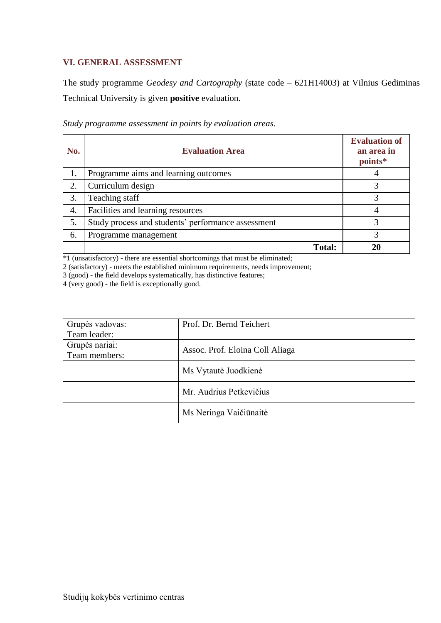# <span id="page-18-0"></span>**VI. GENERAL ASSESSMENT**

The study programme *Geodesy and Cartography* (state code – 621H14003) at Vilnius Gediminas Technical University is given **positive** evaluation.

| No. | <b>Evaluation Area</b>                             | <b>Evaluation of</b><br>an area in<br>points* |
|-----|----------------------------------------------------|-----------------------------------------------|
| 1.  | Programme aims and learning outcomes               |                                               |
| 2.  | Curriculum design                                  | 3                                             |
| 3.  | Teaching staff                                     | 3                                             |
| 4.  | Facilities and learning resources                  |                                               |
| 5.  | Study process and students' performance assessment |                                               |
| 6.  | Programme management                               |                                               |
|     | <b>Total:</b>                                      |                                               |

*Study programme assessment in points by evaluation areas*.

\*1 (unsatisfactory) - there are essential shortcomings that must be eliminated;

2 (satisfactory) - meets the established minimum requirements, needs improvement;

3 (good) - the field develops systematically, has distinctive features;

4 (very good) - the field is exceptionally good.

| Grupės vadovas: | Prof. Dr. Bernd Teichert        |
|-----------------|---------------------------------|
| Team leader:    |                                 |
| Grupės nariai:  | Assoc. Prof. Eloina Coll Aliaga |
| Team members:   |                                 |
|                 | Ms Vytautė Juodkienė            |
|                 | Mr. Audrius Petkevičius         |
|                 | Ms Neringa Vaičiūnaitė          |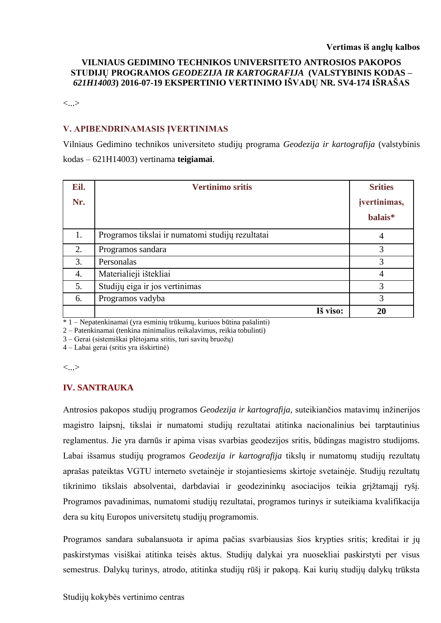#### **VILNIAUS GEDIMINO TECHNIKOS UNIVERSITETO ANTROSIOS PAKOPOS STUDIJŲ PROGRAMOS** *GEODEZIJA IR KARTOGRAFIJA* **(VALSTYBINIS KODAS –** *621H14003***) 2016-07-19 EKSPERTINIO VERTINIMO IŠVADŲ NR. SV4-174 IŠRAŠAS**

<...>

#### **V. APIBENDRINAMASIS ĮVERTINIMAS**

Vilniaus Gedimino technikos universiteto studijų programa *Geodezija ir kartografija* (valstybinis kodas – 621H14003) vertinama **teigiamai**.

| Eil. | <b>Vertinimo sritis</b>                          | <b>Srities</b> |
|------|--------------------------------------------------|----------------|
| Nr.  |                                                  | jvertinimas,   |
|      |                                                  | balais*        |
| 1.   | Programos tikslai ir numatomi studijų rezultatai | 4              |
| 2.   | Programos sandara                                | 3              |
| 3.   | Personalas                                       | 3              |
| 4.   | Materialieji ištekliai                           | $\overline{4}$ |
| 5.   | Studijų eiga ir jos vertinimas                   | 3              |
| 6.   | Programos vadyba                                 | 3              |
|      | Iš viso:                                         | 20             |

 $*1$  – Nepatenkinamai (yra esminių trūkumų, kuriuos būtina pašalinti)

2 – Patenkinamai (tenkina minimalius reikalavimus, reikia tobulinti)

3 – Gerai (sistemiškai plėtojama sritis, turi savitų bruožų)

4 – Labai gerai (sritis yra išskirtinė)

<...>

#### **IV. SANTRAUKA**

Antrosios pakopos studijų programos *Geodezija ir kartografija,* suteikiančios matavimų inžinerijos magistro laipsnį, tikslai ir numatomi studijų rezultatai atitinka nacionalinius bei tarptautinius reglamentus. Jie yra darnūs ir apima visas svarbias geodezijos sritis, būdingas magistro studijoms. Labai išsamus studijų programos *Geodezija ir kartografija* tikslų ir numatomų studijų rezultatų aprašas pateiktas VGTU interneto svetainėje ir stojantiesiems skirtoje svetainėje. Studijų rezultatų tikrinimo tikslais absolventai, darbdaviai ir geodezininkų asociacijos teikia grįžtamąjį ryšį. Programos pavadinimas, numatomi studijų rezultatai, programos turinys ir suteikiama kvalifikacija dera su kitų Europos universitetų studijų programomis.

Programos sandara subalansuota ir apima pačias svarbiausias šios krypties sritis; kreditai ir jų paskirstymas visiškai atitinka teisės aktus. Studijų dalykai yra nuosekliai paskirstyti per visus semestrus. Dalykų turinys, atrodo, atitinka studijų rūšį ir pakopą. Kai kurių studijų dalykų trūksta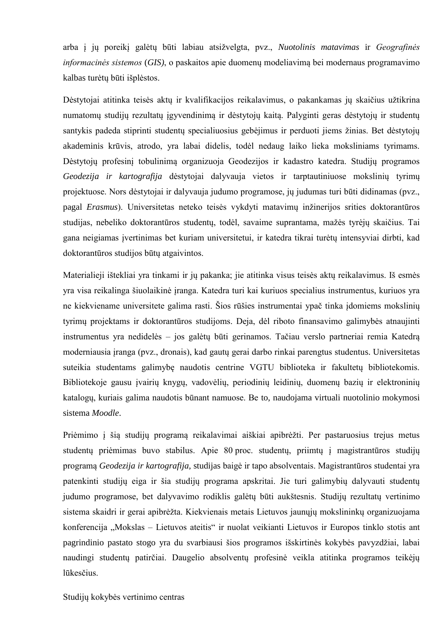arba į jų poreikį galėtų būti labiau atsižvelgta, pvz., *Nuotolinis matavimas* ir *Geografinės informacinės sistemos* (*GIS)*, o paskaitos apie duomenų modeliavimą bei modernaus programavimo kalbas turėtų būti išplėstos.

Dėstytojai atitinka teisės aktų ir kvalifikacijos reikalavimus, o pakankamas jų skaičius užtikrina numatomų studijų rezultatų įgyvendinimą ir dėstytojų kaitą. Palyginti geras dėstytojų ir studentų santykis padeda stiprinti studentų specialiuosius gebėjimus ir perduoti jiems žinias. Bet dėstytojų akademinis krūvis, atrodo, yra labai didelis, todėl nedaug laiko lieka moksliniams tyrimams. Dėstytojų profesinį tobulinimą organizuoja Geodezijos ir kadastro katedra. Studijų programos *Geodezija ir kartografija* dėstytojai dalyvauja vietos ir tarptautiniuose mokslinių tyrimų projektuose. Nors dėstytojai ir dalyvauja judumo programose, jų judumas turi būti didinamas (pvz., pagal *Erasmus*). Universitetas neteko teisės vykdyti matavimų inžinerijos srities doktorantūros studijas, nebeliko doktorantūros studentų, todėl, savaime suprantama, mažės tyrėjų skaičius. Tai gana neigiamas įvertinimas bet kuriam universitetui, ir katedra tikrai turėtų intensyviai dirbti, kad doktorantūros studijos būtų atgaivintos.

Materialieji ištekliai yra tinkami ir jų pakanka; jie atitinka visus teisės aktų reikalavimus. Iš esmės yra visa reikalinga šiuolaikinė įranga. Katedra turi kai kuriuos specialius instrumentus, kuriuos yra ne kiekviename universitete galima rasti. Šios rūšies instrumentai ypač tinka įdomiems mokslinių tyrimų projektams ir doktorantūros studijoms. Deja, dėl riboto finansavimo galimybės atnaujinti instrumentus yra nedidelės – jos galėtų būti gerinamos. Tačiau verslo partneriai remia Katedrą moderniausia įranga (pvz., dronais), kad gautų gerai darbo rinkai parengtus studentus. Universitetas suteikia studentams galimybę naudotis centrine VGTU biblioteka ir fakultetų bibliotekomis. Bibliotekoje gausu įvairių knygų, vadovėlių, periodinių leidinių, duomenų bazių ir elektroninių katalogų, kuriais galima naudotis būnant namuose. Be to, naudojama virtuali nuotolinio mokymosi sistema *Moodle*.

Priėmimo į šią studijų programą reikalavimai aiškiai apibrėžti. Per pastaruosius trejus metus studentų priėmimas buvo stabilus. Apie 80 proc. studentų, priimtų į magistrantūros studijų programą *Geodezija ir kartografija,* studijas baigė ir tapo absolventais. Magistrantūros studentai yra patenkinti studijų eiga ir šia studijų programa apskritai. Jie turi galimybių dalyvauti studentų judumo programose, bet dalyvavimo rodiklis galėtų būti aukštesnis. Studijų rezultatų vertinimo sistema skaidri ir gerai apibrėžta. Kiekvienais metais Lietuvos jaunųjų mokslininkų organizuojama konferencija "Mokslas – Lietuvos ateitis" ir nuolat veikianti Lietuvos ir Europos tinklo stotis ant pagrindinio pastato stogo yra du svarbiausi šios programos išskirtinės kokybės pavyzdžiai, labai naudingi studentų patirčiai. Daugelio absolventų profesinė veikla atitinka programos teikėjų lūkesčius.

Studijų kokybės vertinimo centras